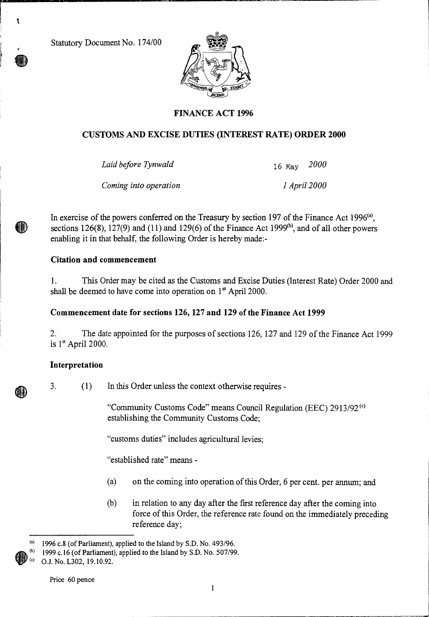Statutory Document No. 174/00

٦

HD



# **FINANCE ACT 1996**

## **CUSTOMS AND EXCISE DUTIES (INTEREST RATE) ORDER 2000**

*Laid before Tynwald* 16 May *2000* 

*Coming into operation 1 April 2000* 

In exercise of the powers conferred on the Treasury by section 197 of the Finance Act 1996<sup>(a)</sup>, sections 126(8), 127(9) and (11) and 129(6) of the Finance Act 1999 $^{(b)}$ , and of all other powers enabling it in that behalf, the following Order is hereby made:-

## **Citation and commencement**

1. This Order may be cited as the Customs and Excise Duties (Interest Rate) Order 2000 and shall be deemed to have come into operation on  $1<sup>st</sup>$  April 2000.

## **Commencement date for sections 126, 127 and 129 of the Finance Act 1999**

2. The date appointed for the purposes of sections 126, 127 and 129 of the Finance Act 1999 is  $1<sup>st</sup>$  April 2000.

## **Interpretation**

3. (1) In this Order unless the context otherwise requires -

"Community Customs Code" means Council Regulation (EEC) 2913/92<sup>(c)</sup> establishing the Community Customs Code;

"customs duties" includes agricultural levies;

"established rate" means -

- (a) on the coming into operation of this Order, 6 per cent. per annum; and
- (b) in relation to any day after the first reference day after the coming into force of this Order, the reference rate found on the immediately preceding reference day;

 $(3)$  1996 c.8 (of Parliament), applied to the Island by S.D. No. 493/96.

<sup>1999</sup> c.16 (of Parliament), applied to the Island by S.D. No. 507/99.

<sup>(</sup>c) O.J. No. L302, 19.10.92.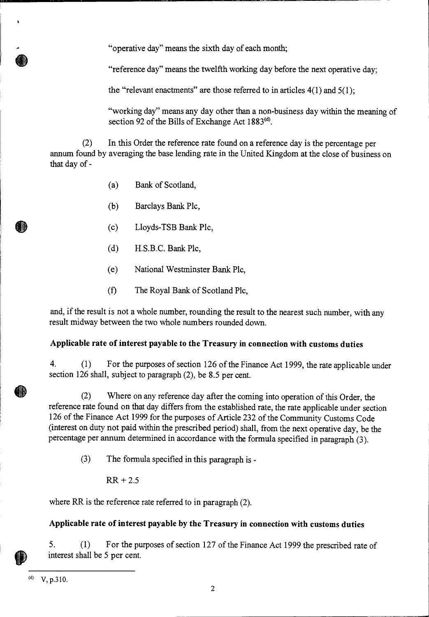"operative day" means the sixth day of each month;

"reference day" means the twelfth working day before the next operative day;

the "relevant enactments" are those referred to in articles  $4(1)$  and  $5(1)$ ;

"working day" means any day other than a non-business day within the meaning of section 92 of the Bills of Exchange Act  $1883^{(d)}$ .

(2) In this Order the reference rate found on a reference day is the percentage per annum found by averaging the base lending rate in the United Kingdom at the close of business on that day of -

- (a) Bank of Scotland,
- (b) Barclays Bank Plc,
- (c) Lloyds-TSB Bank Plc,
- (d) H.S.B.C. Bank Plc,
- (e) National Westminster Bank Plc,
- (f) The Royal Bank of Scotland Plc,

and, if the result is not a whole number, rounding the result to the nearest such number, with any result midway between the two whole numbers rounded down.

## **Applicable rate of interest payable to the Treasury in connection with customs duties**

4. (1) For the purposes of section 126 of the Finance Act 1999, the rate applicable under section 126 shall, subject to paragraph (2), be 8.5 per cent.

(2) Where on any reference day after the coming into operation of this Order, the reference rate found on that day differs from the established rate, the rate applicable under section 126 of the Finance Act 1999 for the purposes of Article 232 of the Community Customs Code (interest on duty not paid within the prescribed period) shall, from the next operative day, be the percentage per annum determined in accordance with the formula specified in paragraph (3).

- (3) The formula specified in this paragraph is
	- $RR + 2.5$

where RR is the reference rate referred to in paragraph (2).

## **Applicable rate of interest payable by the Treasury in connection with customs duties**

5. (1) For the purposes of section 127 of the Finance Act 1999 the prescribed rate of interest shall be 5 per cent.

 $(V, p.310.$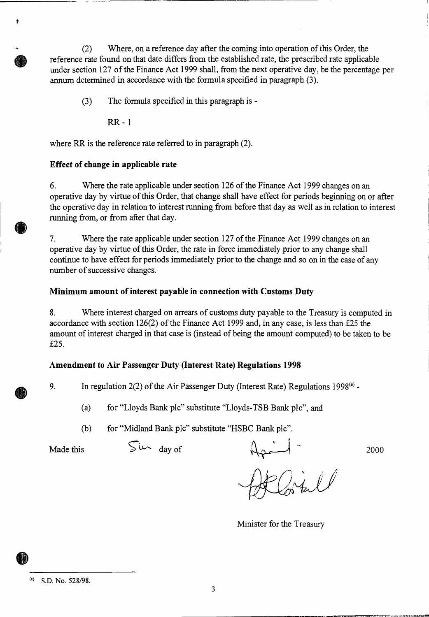(2) Where, on a reference day after the coming into operation of this Order, the reference rate found on that date differs from the established rate, the prescribed rate applicable under section 127 of the Finance Act 1999 shall, from the next operative day, be the percentage per annum determined in accordance with the formula specified in paragraph (3).

(3) The formula specified in this paragraph is -

RR - 1

ŧ

where RR is the reference rate referred to in paragraph (2).

### **Effect of change in applicable rate**

6. Where the rate applicable under section 126 of the Finance Act 1999 changes on an operative day by virtue of this Order, that change shall have effect for periods beginning on or after the operative day in relation to interest running from before that day as well as in relation to interest running from, or from after that day.

7. Where the rate applicable under section 127 of the Finance Act 1999 changes on an operative day by virtue of this Order, the rate in force immediately prior to any change shall continue to have effect for periods immediately prior to the change and so on in the case of any number of successive changes.

### **Minimum amount of interest payable in connection with Customs Duty**

8. Where interest charged on arrears of customs duty payable to the Treasury is computed in accordance with section 126(2) of the Finance Act 1999 and, in any case, is less than £25 the amount of interest charged in that case is (instead of being the amount computed) to be taken to be £25.

## **Amendment to Air Passenger Duty (Interest Rate) Regulations 1998**

9. In regulation  $2(2)$  of the Air Passenger Duty (Interest Rate) Regulations 1998<sup>(e)</sup> -

- (a) for "Lloyds Bank plc" substitute "Lloyds-TSB Bank plc", and
- (b) for "Midland Bank plc" substitute "HSBC Bank plc".

Made this  $\int \sqrt{u^2 + 4} du$  of  $\int \sqrt{u^2 + 4} du$  2000

Minister for the Treasury

 $(6)$  S.D. No. 528/98.